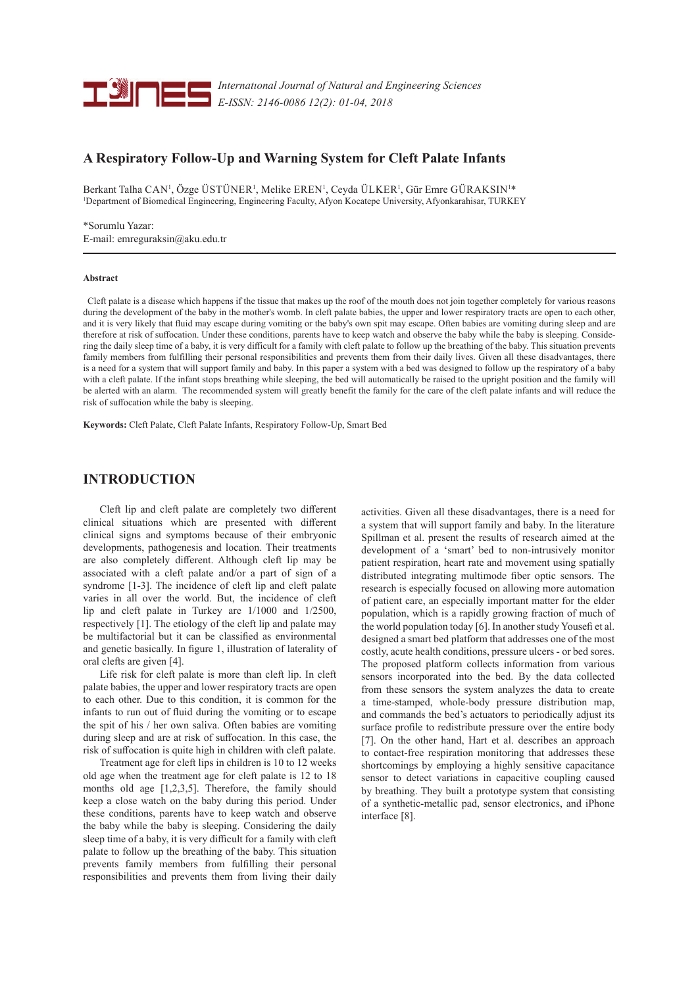

*Internatıonal Journal of Natural and Engineering Sciences E-ISSN: 2146-0086 12(2): 01-04, 2018*

# **A Respiratory Follow-Up and Warning System for Cleft Palate Infants**

Berkant Talha CAN<sup>1</sup>, Özge ÜSTÜNER<sup>1</sup>, Melike EREN<sup>1</sup>, Ceyda ÜLKER<sup>1</sup>, Gür Emre GÜRAKSIN<sup>1\*</sup> 1 Department of Biomedical Engineering, Engineering Faculty, Afyon Kocatepe University, Afyonkarahisar, TURKEY

\*Sorumlu Yazar: E-mail: emreguraksin@aku.edu.tr

#### **Abstract**

 Cleft palate is a disease which happens if the tissue that makes up the roof of the mouth does not join together completely for various reasons during the development of the baby in the mother's womb. In cleft palate babies, the upper and lower respiratory tracts are open to each other, and it is very likely that fluid may escape during vomiting or the baby's own spit may escape. Often babies are vomiting during sleep and are therefore at risk of suffocation. Under these conditions, parents have to keep watch and observe the baby while the baby is sleeping. Considering the daily sleep time of a baby, it is very difficult for a family with cleft palate to follow up the breathing of the baby. This situation prevents family members from fulfilling their personal responsibilities and prevents them from their daily lives. Given all these disadvantages, there is a need for a system that will support family and baby. In this paper a system with a bed was designed to follow up the respiratory of a baby with a cleft palate. If the infant stops breathing while sleeping, the bed will automatically be raised to the upright position and the family will be alerted with an alarm. The recommended system will greatly benefit the family for the care of the cleft palate infants and will reduce the risk of suffocation while the baby is sleeping.

**Keywords:** Cleft Palate, Cleft Palate Infants, Respiratory Follow-Up, Smart Bed

## **INTRODUCTION**

Cleft lip and cleft palate are completely two different clinical situations which are presented with different clinical signs and symptoms because of their embryonic developments, pathogenesis and location. Their treatments are also completely different. Although cleft lip may be associated with a cleft palate and/or a part of sign of a syndrome [1-3]. The incidence of cleft lip and cleft palate varies in all over the world. But, the incidence of cleft lip and cleft palate in Turkey are 1/1000 and 1/2500, respectively [1]. The etiology of the cleft lip and palate may be multifactorial but it can be classified as environmental and genetic basically. In figure 1, illustration of laterality of oral clefts are given [4].

Life risk for cleft palate is more than cleft lip. In cleft palate babies, the upper and lower respiratory tracts are open to each other. Due to this condition, it is common for the infants to run out of fluid during the vomiting or to escape the spit of his / her own saliva. Often babies are vomiting during sleep and are at risk of suffocation. In this case, the risk of suffocation is quite high in children with cleft palate.

Treatment age for cleft lips in children is 10 to 12 weeks old age when the treatment age for cleft palate is 12 to 18 months old age [1,2,3,5]. Therefore, the family should keep a close watch on the baby during this period. Under these conditions, parents have to keep watch and observe the baby while the baby is sleeping. Considering the daily sleep time of a baby, it is very difficult for a family with cleft palate to follow up the breathing of the baby. This situation prevents family members from fulfilling their personal responsibilities and prevents them from living their daily activities. Given all these disadvantages, there is a need for a system that will support family and baby. In the literature Spillman et al. present the results of research aimed at the development of a 'smart' bed to non-intrusively monitor patient respiration, heart rate and movement using spatially distributed integrating multimode fiber optic sensors. The research is especially focused on allowing more automation of patient care, an especially important matter for the elder population, which is a rapidly growing fraction of much of the world population today [6]. In another study Yousefi et al. designed a smart bed platform that addresses one of the most costly, acute health conditions, pressure ulcers - or bed sores. The proposed platform collects information from various sensors incorporated into the bed. By the data collected from these sensors the system analyzes the data to create a time-stamped, whole-body pressure distribution map, and commands the bed's actuators to periodically adjust its surface profile to redistribute pressure over the entire body [7]. On the other hand, Hart et al. describes an approach to contact-free respiration monitoring that addresses these shortcomings by employing a highly sensitive capacitance sensor to detect variations in capacitive coupling caused by breathing. They built a prototype system that consisting of a synthetic-metallic pad, sensor electronics, and iPhone interface [8].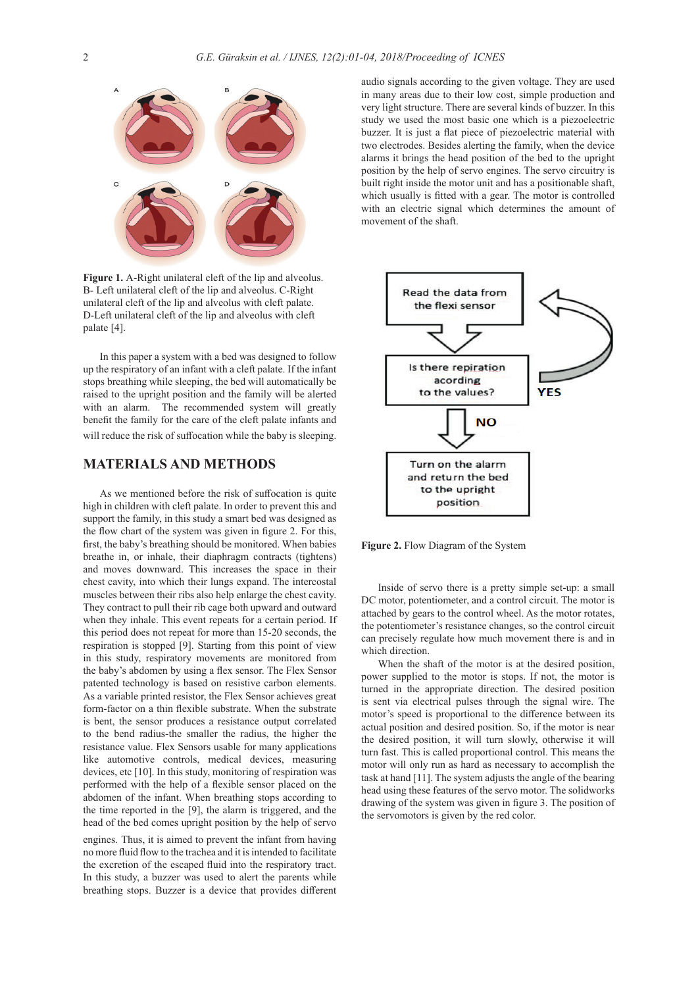

**Figure 1.** A-Right unilateral cleft of the lip and alveolus. B- Left unilateral cleft of the lip and alveolus. C-Right unilateral cleft of the lip and alveolus with cleft palate. D-Left unilateral cleft of the lip and alveolus with cleft palate [4].

In this paper a system with a bed was designed to follow up the respiratory of an infant with a cleft palate. If the infant stops breathing while sleeping, the bed will automatically be raised to the upright position and the family will be alerted with an alarm. The recommended system will greatly benefit the family for the care of the cleft palate infants and will reduce the risk of suffocation while the baby is sleeping.

### **MATERIALS AND METHODS**

As we mentioned before the risk of suffocation is quite high in children with cleft palate. In order to prevent this and support the family, in this study a smart bed was designed as the flow chart of the system was given in figure 2. For this, first, the baby's breathing should be monitored. When babies breathe in, or inhale, their diaphragm contracts (tightens) and moves downward. This increases the space in their chest cavity, into which their lungs expand. The intercostal muscles between their ribs also help enlarge the chest cavity. They contract to pull their rib cage both upward and outward when they inhale. This event repeats for a certain period. If this period does not repeat for more than 15-20 seconds, the respiration is stopped [9]. Starting from this point of view in this study, respiratory movements are monitored from the baby's abdomen by using a flex sensor. The Flex Sensor patented technology is based on resistive carbon elements. As a variable printed resistor, the Flex Sensor achieves great form-factor on a thin flexible substrate. When the substrate is bent, the sensor produces a resistance output correlated to the bend radius-the smaller the radius, the higher the resistance value. Flex Sensors usable for many applications like automotive controls, medical devices, measuring devices, etc [10]. In this study, monitoring of respiration was performed with the help of a flexible sensor placed on the abdomen of the infant. When breathing stops according to the time reported in the [9], the alarm is triggered, and the head of the bed comes upright position by the help of servo

engines. Thus, it is aimed to prevent the infant from having no more fluid flow to the trachea and it is intended to facilitate the excretion of the escaped fluid into the respiratory tract. In this study, a buzzer was used to alert the parents while breathing stops. Buzzer is a device that provides different audio signals according to the given voltage. They are used in many areas due to their low cost, simple production and very light structure. There are several kinds of buzzer. In this study we used the most basic one which is a piezoelectric buzzer. It is just a flat piece of piezoelectric material with two electrodes. Besides alerting the family, when the device alarms it brings the head position of the bed to the upright position by the help of servo engines. The servo circuitry is built right inside the motor unit and has a positionable shaft, which usually is fitted with a gear. The motor is controlled with an electric signal which determines the amount of movement of the shaft.



**Figure 2.** Flow Diagram of the System

Inside of servo there is a pretty simple set-up: a small DC motor, potentiometer, and a control circuit. The motor is attached by gears to the control wheel. As the motor rotates, the potentiometer's resistance changes, so the control circuit can precisely regulate how much movement there is and in which direction.

When the shaft of the motor is at the desired position, power supplied to the motor is stops. If not, the motor is turned in the appropriate direction. The desired position is sent via electrical pulses through the signal wire. The motor's speed is proportional to the difference between its actual position and desired position. So, if the motor is near the desired position, it will turn slowly, otherwise it will turn fast. This is called proportional control. This means the motor will only run as hard as necessary to accomplish the task at hand [11]. The system adjusts the angle of the bearing head using these features of the servo motor. The solidworks drawing of the system was given in figure 3. The position of the servomotors is given by the red color.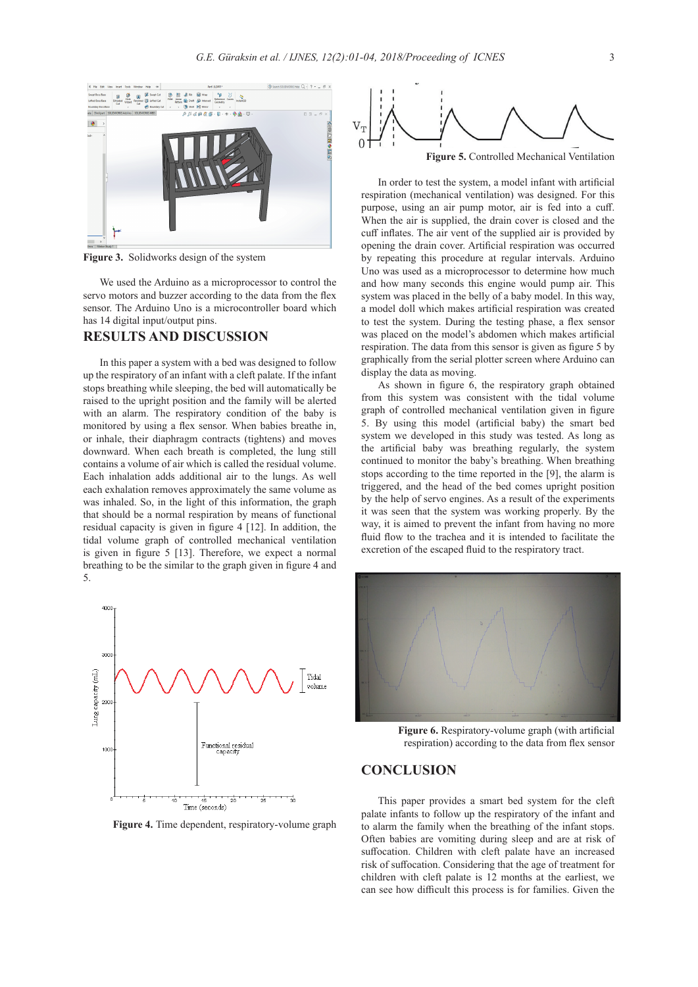

**Figure 3.** Solidworks design of the system

We used the Arduino as a microprocessor to control the servo motors and buzzer according to the data from the flex sensor. The Arduino Uno is a microcontroller board which has 14 digital input/output pins.

### **RESULTS AND DISCUSSION**

In this paper a system with a bed was designed to follow up the respiratory of an infant with a cleft palate. If the infant stops breathing while sleeping, the bed will automatically be raised to the upright position and the family will be alerted with an alarm. The respiratory condition of the baby is monitored by using a flex sensor. When babies breathe in, or inhale, their diaphragm contracts (tightens) and moves downward. When each breath is completed, the lung still contains a volume of air which is called the residual volume. Each inhalation adds additional air to the lungs. As well each exhalation removes approximately the same volume as was inhaled. So, in the light of this information, the graph that should be a normal respiration by means of functional residual capacity is given in figure 4 [12]. In addition, the tidal volume graph of controlled mechanical ventilation is given in figure 5 [13]. Therefore, we expect a normal breathing to be the similar to the graph given in figure 4 and 5.



**Figure 4.** Time dependent, respiratory-volume graph



**Figure 5.** Controlled Mechanical Ventilation

In order to test the system, a model infant with artificial respiration (mechanical ventilation) was designed. For this purpose, using an air pump motor, air is fed into a cuff. When the air is supplied, the drain cover is closed and the cuff inflates. The air vent of the supplied air is provided by opening the drain cover. Artificial respiration was occurred by repeating this procedure at regular intervals. Arduino Uno was used as a microprocessor to determine how much and how many seconds this engine would pump air. This system was placed in the belly of a baby model. In this way, a model doll which makes artificial respiration was created to test the system. During the testing phase, a flex sensor was placed on the model's abdomen which makes artificial respiration. The data from this sensor is given as figure 5 by graphically from the serial plotter screen where Arduino can display the data as moving.

As shown in figure 6, the respiratory graph obtained from this system was consistent with the tidal volume graph of controlled mechanical ventilation given in figure 5. By using this model (artificial baby) the smart bed system we developed in this study was tested. As long as the artificial baby was breathing regularly, the system continued to monitor the baby's breathing. When breathing stops according to the time reported in the [9], the alarm is triggered, and the head of the bed comes upright position by the help of servo engines. As a result of the experiments it was seen that the system was working properly. By the way, it is aimed to prevent the infant from having no more fluid flow to the trachea and it is intended to facilitate the excretion of the escaped fluid to the respiratory tract.



**Figure 6.** Respiratory-volume graph (with artificial respiration) according to the data from flex sensor

## **CONCLUSION**

This paper provides a smart bed system for the cleft palate infants to follow up the respiratory of the infant and to alarm the family when the breathing of the infant stops. Often babies are vomiting during sleep and are at risk of suffocation. Children with cleft palate have an increased risk of suffocation. Considering that the age of treatment for children with cleft palate is 12 months at the earliest, we can see how difficult this process is for families. Given the